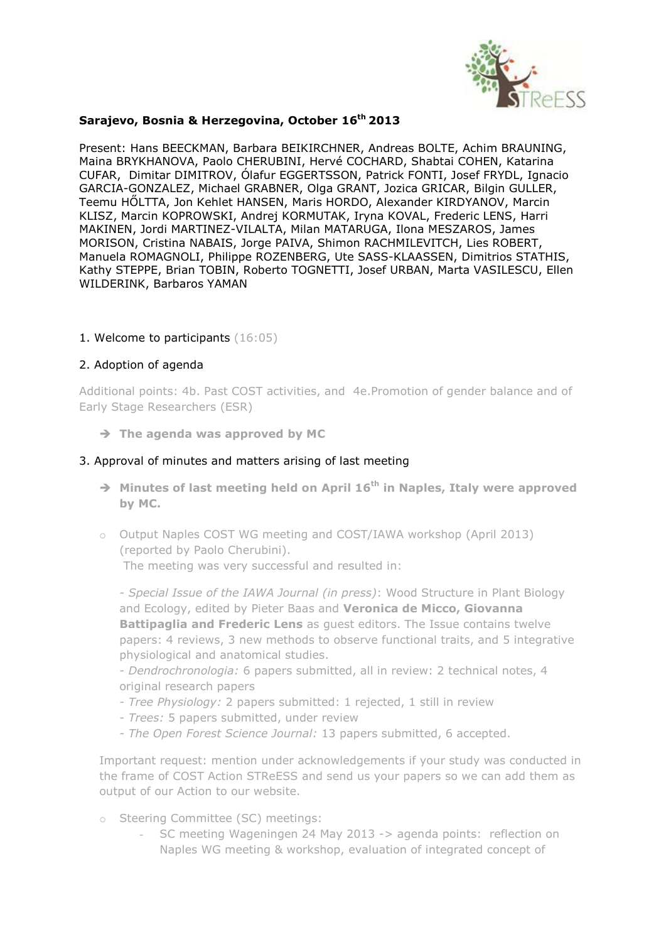

### **Sarajevo, Bosnia & Herzegovina, October 16th 2013**

Present: Hans BEECKMAN, Barbara BEIKIRCHNER, Andreas BOLTE, Achim BRAUNING, Maina BRYKHANOVA, Paolo CHERUBINI, Hervé COCHARD, Shabtai COHEN, Katarina CUFAR, Dimitar DIMITROV, Ólafur EGGERTSSON, Patrick FONTI, Josef FRYDL, Ignacio GARCIA-GONZALEZ, Michael GRABNER, Olga GRANT, Jozica GRICAR, Bilgin GULLER, Teemu HŐLTTA, Jon Kehlet HANSEN, Maris HORDO, Alexander KIRDYANOV, Marcin KLISZ, Marcin KOPROWSKI, Andrej KORMUTAK, Iryna KOVAL, Frederic LENS, Harri MAKINEN, Jordi MARTINEZ-VILALTA, Milan MATARUGA, Ilona MESZAROS, James MORISON, Cristina NABAIS, Jorge PAIVA, Shimon RACHMILEVITCH, Lies ROBERT, Manuela ROMAGNOLI, Philippe ROZENBERG, Ute SASS-KLAASSEN, Dimitrios STATHIS, Kathy STEPPE, Brian TOBIN, Roberto TOGNETTI, Josef URBAN, Marta VASILESCU, Ellen WILDERINK, Barbaros YAMAN

### 1. Welcome to participants (16:05)

### 2. Adoption of agenda

Additional points: 4b. Past COST activities, and 4e.Promotion of gender balance and of Early Stage Researchers (ESR)

**The agenda was approved by MC**

### 3. Approval of minutes and matters arising of last meeting

- **Minutes of last meeting held on April 16th in Naples, Italy were approved by MC.**
- o Output Naples COST WG meeting and COST/IAWA workshop (April 2013) (reported by Paolo Cherubini).

The meeting was very successful and resulted in:

- *Special Issue of the IAWA Journal (in press)*: Wood Structure in Plant Biology and Ecology, edited by Pieter Baas and **Veronica de Micco, Giovanna Battipaglia and Frederic Lens** as guest editors. The Issue contains twelve papers: 4 reviews, 3 new methods to observe functional traits, and 5 integrative physiological and anatomical studies.

- *Dendrochronologia:* 6 papers submitted, all in review: 2 technical notes, 4 original research papers

- *Tree Physiology:* 2 papers submitted: 1 rejected, 1 still in review
- *Trees:* 5 papers submitted, under review
- *The Open Forest Science Journal:* 13 papers submitted, 6 accepted.

Important request: mention under acknowledgements if your study was conducted in the frame of COST Action STReESS and send us your papers so we can add them as output of our Action to our website.

- o Steering Committee (SC) meetings:
	- SC meeting Wageningen 24 May 2013 -> agenda points: reflection on Naples WG meeting & workshop, evaluation of integrated concept of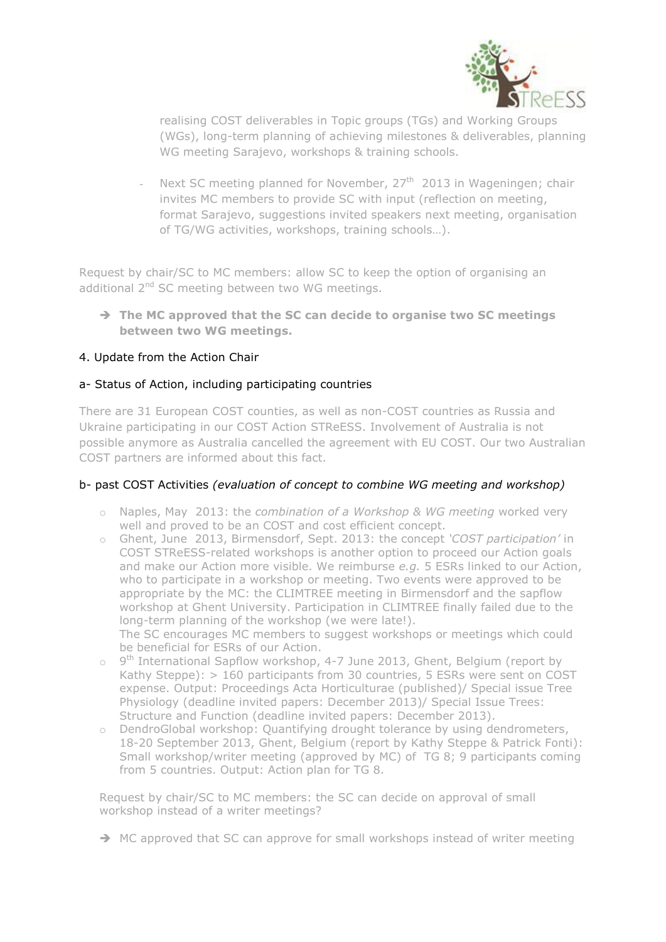

realising COST deliverables in Topic groups (TGs) and Working Groups (WGs), long-term planning of achieving milestones & deliverables, planning WG meeting Sarajevo, workshops & training schools.

Next SC meeting planned for November,  $27<sup>th</sup>$  2013 in Wageningen; chair invites MC members to provide SC with input (reflection on meeting, format Sarajevo, suggestions invited speakers next meeting, organisation of TG/WG activities, workshops, training schools…).

Request by chair/SC to MC members: allow SC to keep the option of organising an additional 2<sup>nd</sup> SC meeting between two WG meetings.

 **The MC approved that the SC can decide to organise two SC meetings between two WG meetings.** 

## 4. Update from the Action Chair

### a- Status of Action, including participating countries

There are 31 European COST counties, as well as non-COST countries as Russia and Ukraine participating in our COST Action STReESS. Involvement of Australia is not possible anymore as Australia cancelled the agreement with EU COST. Our two Australian COST partners are informed about this fact.

#### b- past COST Activities *(evaluation of concept to combine WG meeting and workshop)*

- o Naples, May 2013: the *combination of a Workshop & WG meeting* worked very well and proved to be an COST and cost efficient concept.
- o Ghent, June 2013, Birmensdorf, Sept. 2013: the concept *'COST participation'* in COST STReESS-related workshops is another option to proceed our Action goals and make our Action more visible. We reimburse *e.g.* 5 ESRs linked to our Action, who to participate in a workshop or meeting. Two events were approved to be appropriate by the MC: the CLIMTREE meeting in Birmensdorf and the sapflow workshop at Ghent University. Participation in CLIMTREE finally failed due to the long-term planning of the workshop (we were late!). The SC encourages MC members to suggest workshops or meetings which could be beneficial for ESRs of our Action.
- $\circ$  9<sup>th</sup> International Sapflow workshop, 4-7 June 2013, Ghent, Belgium (report by Kathy Steppe): > 160 participants from 30 countries, 5 ESRs were sent on COST expense. Output: Proceedings Acta Horticulturae (published)/ Special issue Tree Physiology (deadline invited papers: December 2013)/ Special Issue Trees: Structure and Function (deadline invited papers: December 2013).
- o DendroGlobal workshop: Quantifying drought tolerance by using dendrometers, 18-20 September 2013, Ghent, Belgium (report by Kathy Steppe & Patrick Fonti): Small workshop/writer meeting (approved by MC) of TG 8; 9 participants coming from 5 countries. Output: Action plan for TG 8.

Request by chair/SC to MC members: the SC can decide on approval of small workshop instead of a writer meetings?

 $\rightarrow$  MC approved that SC can approve for small workshops instead of writer meeting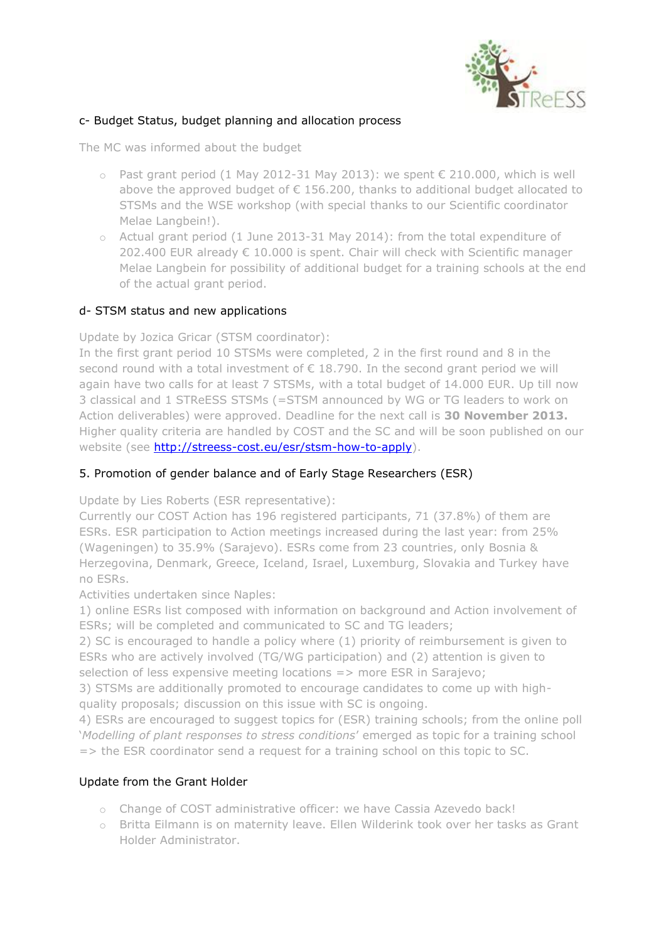

## c- Budget Status, budget planning and allocation process

The MC was informed about the budget

- o Past grant period (1 May 2012-31 May 2013): we spent € 210.000, which is well above the approved budget of  $\epsilon$  156.200, thanks to additional budget allocated to STSMs and the WSE workshop (with special thanks to our Scientific coordinator Melae Langbein!).
- o Actual grant period (1 June 2013-31 May 2014): from the total expenditure of 202.400 EUR already € 10.000 is spent. Chair will check with Scientific manager Melae Langbein for possibility of additional budget for a training schools at the end of the actual grant period.

## d- STSM status and new applications

Update by Jozica Gricar (STSM coordinator):

In the first grant period 10 STSMs were completed, 2 in the first round and 8 in the second round with a total investment of  $\epsilon$  18.790. In the second grant period we will again have two calls for at least 7 STSMs, with a total budget of 14.000 EUR. Up till now 3 classical and 1 STReESS STSMs (=STSM announced by WG or TG leaders to work on Action deliverables) were approved. Deadline for the next call is **30 November 2013.** Higher quality criteria are handled by COST and the SC and will be soon published on our website (see [http://streess-cost.eu/esr/stsm-how-to-apply\)](http://streess-cost.eu/esr/stsm-how-to-apply).

## 5. Promotion of gender balance and of Early Stage Researchers (ESR)

Update by Lies Roberts (ESR representative):

Currently our COST Action has 196 registered participants, 71 (37.8%) of them are ESRs. ESR participation to Action meetings increased during the last year: from 25% (Wageningen) to 35.9% (Sarajevo). ESRs come from 23 countries, only Bosnia & Herzegovina, Denmark, Greece, Iceland, Israel, Luxemburg, Slovakia and Turkey have no ESRs.

Activities undertaken since Naples:

1) online ESRs list composed with information on background and Action involvement of ESRs; will be completed and communicated to SC and TG leaders;

2) SC is encouraged to handle a policy where (1) priority of reimbursement is given to ESRs who are actively involved (TG/WG participation) and (2) attention is given to selection of less expensive meeting locations => more ESR in Sarajevo;

3) STSMs are additionally promoted to encourage candidates to come up with highquality proposals; discussion on this issue with SC is ongoing.

4) ESRs are encouraged to suggest topics for (ESR) training schools; from the online poll '*Modelling of plant responses to stress conditions*' emerged as topic for a training school => the ESR coordinator send a request for a training school on this topic to SC.

## Update from the Grant Holder

- o Change of COST administrative officer: we have Cassia Azevedo back!
- o Britta Eilmann is on maternity leave. Ellen Wilderink took over her tasks as Grant Holder Administrator.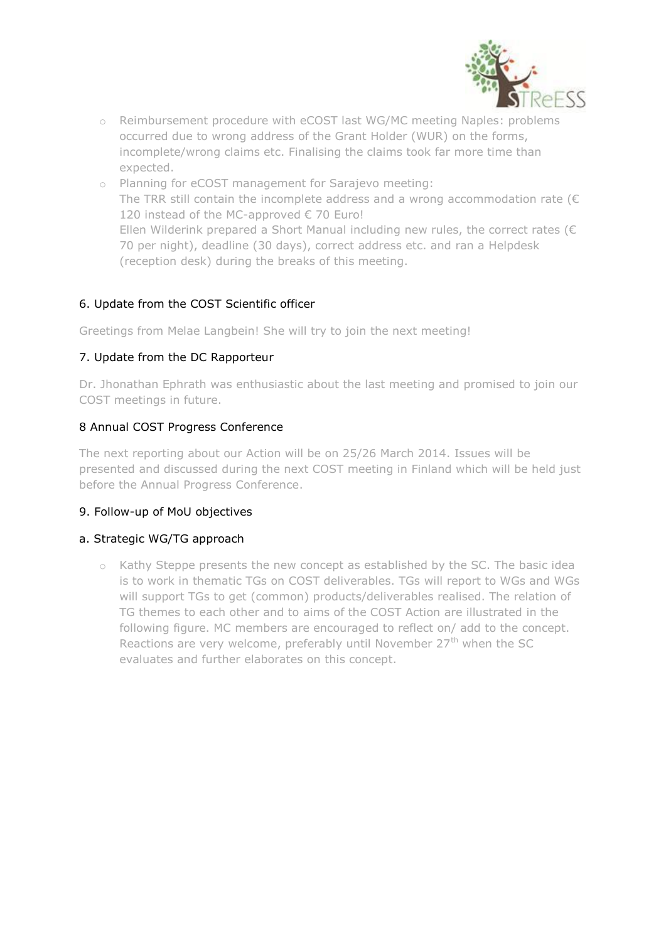

- o Reimbursement procedure with eCOST last WG/MC meeting Naples: problems occurred due to wrong address of the Grant Holder (WUR) on the forms, incomplete/wrong claims etc. Finalising the claims took far more time than expected.
- o Planning for eCOST management for Sarajevo meeting: The TRR still contain the incomplete address and a wrong accommodation rate ( $\epsilon$ 120 instead of the MC-approved € 70 Euro! Ellen Wilderink prepared a Short Manual including new rules, the correct rates ( $\epsilon$ 70 per night), deadline (30 days), correct address etc. and ran a Helpdesk (reception desk) during the breaks of this meeting.

# 6. Update from the COST Scientific officer

Greetings from Melae Langbein! She will try to join the next meeting!

# 7. Update from the DC Rapporteur

Dr. Jhonathan Ephrath was enthusiastic about the last meeting and promised to join our COST meetings in future.

# 8 Annual COST Progress Conference

The next reporting about our Action will be on 25/26 March 2014. Issues will be presented and discussed during the next COST meeting in Finland which will be held just before the Annual Progress Conference.

## 9. Follow-up of MoU objectives

## a. Strategic WG/TG approach

o Kathy Steppe presents the new concept as established by the SC. The basic idea is to work in thematic TGs on COST deliverables. TGs will report to WGs and WGs will support TGs to get (common) products/deliverables realised. The relation of TG themes to each other and to aims of the COST Action are illustrated in the following figure. MC members are encouraged to reflect on/ add to the concept. Reactions are very welcome, preferably until November  $27<sup>th</sup>$  when the SC evaluates and further elaborates on this concept.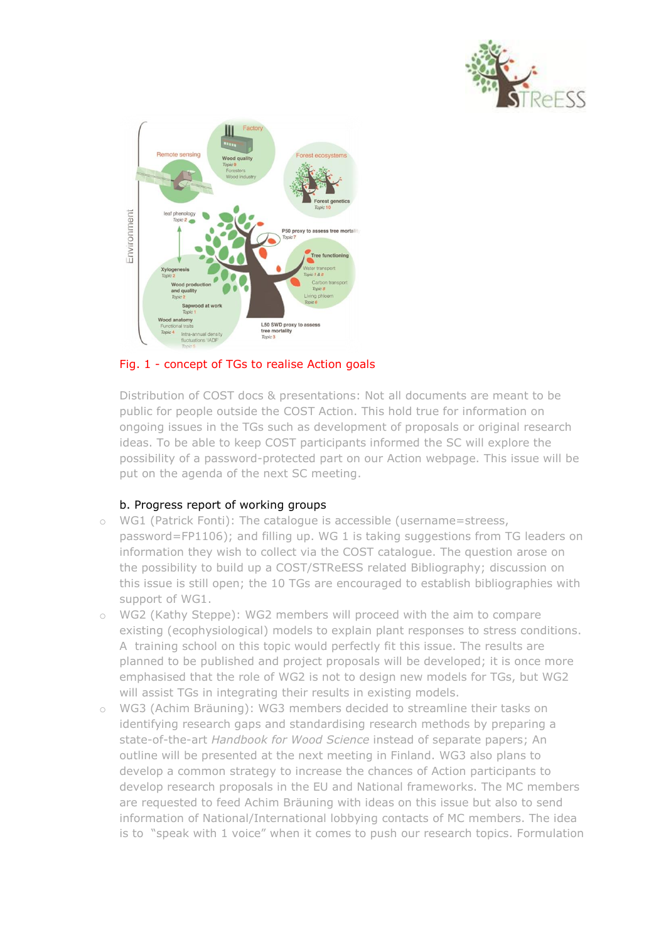



# Fig. 1 - concept of TGs to realise Action goals

Distribution of COST docs & presentations: Not all documents are meant to be public for people outside the COST Action. This hold true for information on ongoing issues in the TGs such as development of proposals or original research ideas. To be able to keep COST participants informed the SC will explore the possibility of a password-protected part on our Action webpage. This issue will be put on the agenda of the next SC meeting.

## b. Progress report of working groups

- o WG1 (Patrick Fonti): The catalogue is accessible (username=streess, password=FP1106); and filling up. WG 1 is taking suggestions from TG leaders on information they wish to collect via the COST catalogue. The question arose on the possibility to build up a COST/STReESS related Bibliography; discussion on this issue is still open; the 10 TGs are encouraged to establish bibliographies with support of WG1.
- o WG2 (Kathy Steppe): WG2 members will proceed with the aim to compare existing (ecophysiological) models to explain plant responses to stress conditions. A training school on this topic would perfectly fit this issue. The results are planned to be published and project proposals will be developed; it is once more emphasised that the role of WG2 is not to design new models for TGs, but WG2 will assist TGs in integrating their results in existing models.
- o WG3 (Achim Bräuning): WG3 members decided to streamline their tasks on identifying research gaps and standardising research methods by preparing a state-of-the-art *Handbook for Wood Science* instead of separate papers; An outline will be presented at the next meeting in Finland. WG3 also plans to develop a common strategy to increase the chances of Action participants to develop research proposals in the EU and National frameworks. The MC members are requested to feed Achim Bräuning with ideas on this issue but also to send information of National/International lobbying contacts of MC members. The idea is to "speak with 1 voice" when it comes to push our research topics. Formulation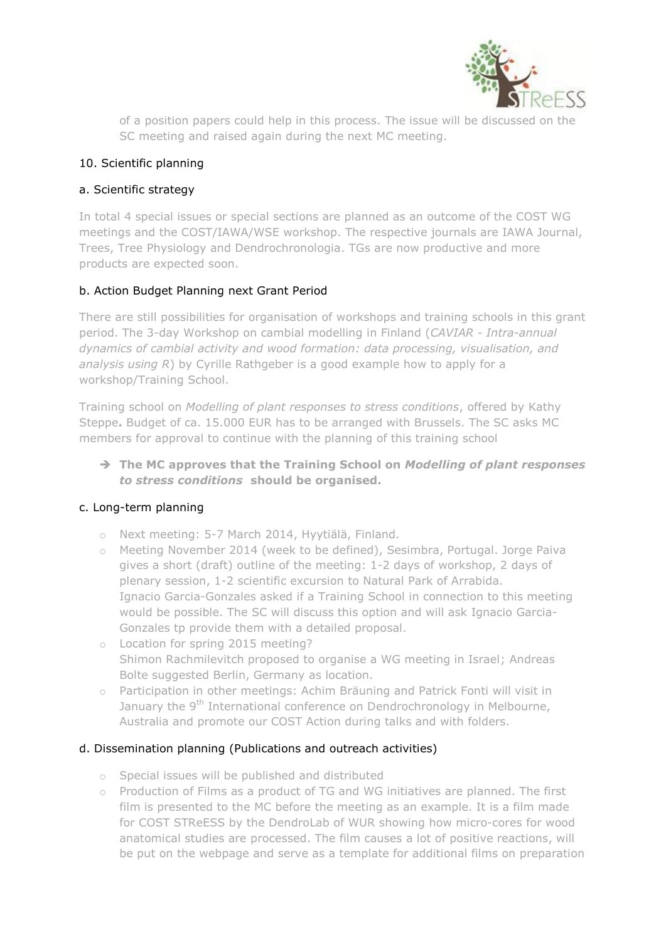

of a position papers could help in this process. The issue will be discussed on the SC meeting and raised again during the next MC meeting.

## 10. Scientific planning

# a. Scientific strategy

In total 4 special issues or special sections are planned as an outcome of the COST WG meetings and the COST/IAWA/WSE workshop. The respective journals are IAWA Journal, Trees, Tree Physiology and Dendrochronologia. TGs are now productive and more products are expected soon.

# b. Action Budget Planning next Grant Period

There are still possibilities for organisation of workshops and training schools in this grant period. The 3-day Workshop on cambial modelling in Finland (*CAVIAR - Intra-annual dynamics of cambial activity and wood formation: data processing, visualisation, and analysis using R*) by Cyrille Rathgeber is a good example how to apply for a workshop/Training School.

Training school on *Modelling of plant responses to stress conditions*, offered by Kathy Steppe**.** Budget of ca. 15.000 EUR has to be arranged with Brussels. The SC asks MC members for approval to continue with the planning of this training school

# **The MC approves that the Training School on** *Modelling of plant responses to stress conditions* **should be organised.**

## c. Long-term planning

- o Next meeting: 5-7 March 2014, Hyytiälä, Finland.
- o Meeting November 2014 (week to be defined), Sesimbra, Portugal. Jorge Paiva gives a short (draft) outline of the meeting: 1-2 days of workshop, 2 days of plenary session, 1-2 scientific excursion to Natural Park of Arrabida. Ignacio Garcia-Gonzales asked if a Training School in connection to this meeting would be possible. The SC will discuss this option and will ask Ignacio Garcia-Gonzales tp provide them with a detailed proposal.
- o Location for spring 2015 meeting? Shimon Rachmilevitch proposed to organise a WG meeting in Israel; Andreas Bolte suggested Berlin, Germany as location.
- o Participation in other meetings: Achim Bräuning and Patrick Fonti will visit in January the 9<sup>th</sup> International conference on Dendrochronology in Melbourne, Australia and promote our COST Action during talks and with folders.

## d. Dissemination planning (Publications and outreach activities)

- o Special issues will be published and distributed
- o Production of Films as a product of TG and WG initiatives are planned. The first film is presented to the MC before the meeting as an example. It is a film made for COST STReESS by the DendroLab of WUR showing how micro-cores for wood anatomical studies are processed. The film causes a lot of positive reactions, will be put on the webpage and serve as a template for additional films on preparation